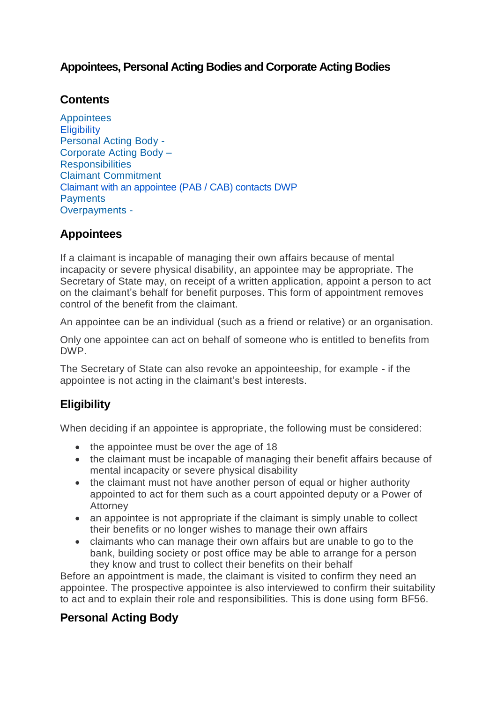## **Appointees, Personal Acting Bodies and Corporate Acting Bodies**

### **Contents**

**[Appointees](https://intranet.dwp.gov.uk/policy/appointees-personal-acting-bodies-and-corporate-acting-bodies#Appointees) [Eligibility](https://intranet.dwp.gov.uk/policy/appointees-personal-acting-bodies-and-corporate-acting-bodies#ELIG1)** [Personal](https://intranet.dwp.gov.uk/policy/appointees-personal-acting-bodies-and-corporate-acting-bodies#PAB1) Acting Body - [Corporate](https://intranet.dwp.gov.uk/policy/appointees-personal-acting-bodies-and-corporate-acting-bodies#Corporate Acting Body) Acting Body – **[Responsibilities](https://intranet.dwp.gov.uk/policy/appointees-personal-acting-bodies-and-corporate-acting-bodies#RESP1)** Claimant [Commitment](https://intranet.dwp.gov.uk/policy/appointees-personal-acting-bodies-and-corporate-acting-bodies#CC1) [Claimant with an appointee \(PAB / CAB\)](https://intranet.dwp.gov.uk/policy/appointees-personal-acting-bodies-and-corporate-acting-bodies#claimant contact) contacts DWP **[Payments](https://intranet.dwp.gov.uk/policy/appointees-personal-acting-bodies-and-corporate-acting-bodies#PAY1)** [Overpayments](https://intranet.dwp.gov.uk/policy/appointees-personal-acting-bodies-and-corporate-acting-bodies#OP1) -

## **Appointees**

If a claimant is incapable of managing their own affairs because of mental incapacity or severe physical disability, an appointee may be appropriate. The Secretary of State may, on receipt of a written application, appoint a person to act on the claimant's behalf for benefit purposes. This form of appointment removes control of the benefit from the claimant.

An appointee can be an individual (such as a friend or relative) or an organisation.

Only one appointee can act on behalf of someone who is entitled to benefits from DWP.

The Secretary of State can also revoke an appointeeship, for example - if the appointee is not acting in the claimant's best interests.

# **Eligibility**

When deciding if an appointee is appropriate, the following must be considered:

- $\bullet$  the appointee must be over the age of 18
- the claimant must be incapable of managing their benefit affairs because of mental incapacity or severe physical disability
- the claimant must not have another person of equal or higher authority appointed to act for them such as a court appointed deputy or a Power of Attorney
- an appointee is not appropriate if the claimant is simply unable to collect their benefits or no longer wishes to manage their own affairs
- claimants who can manage their own affairs but are unable to go to the bank, building society or post office may be able to arrange for a person they know and trust to collect their benefits on their behalf

Before an appointment is made, the claimant is visited to confirm they need an appointee. The prospective appointee is also interviewed to confirm their suitability to act and to explain their role and responsibilities. This is done using form BF56.

## **Personal Acting Body**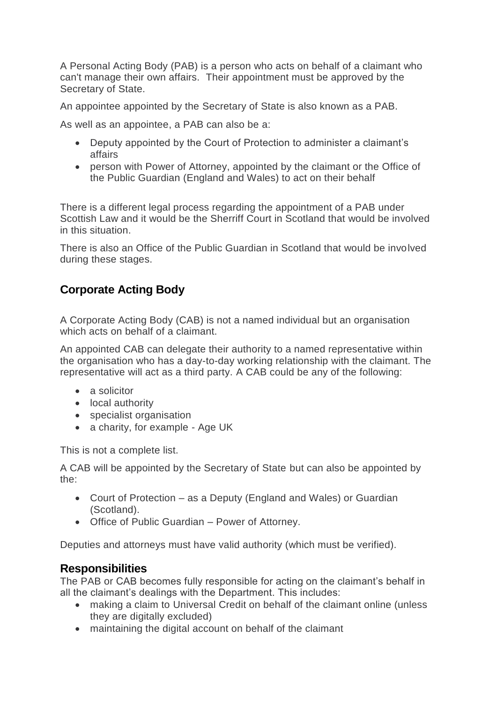A Personal Acting Body (PAB) is a person who acts on behalf of a claimant who can't manage their own affairs. Their appointment must be approved by the Secretary of State.

An appointee appointed by the Secretary of State is also known as a PAB.

As well as an appointee, a PAB can also be a:

- Deputy appointed by the Court of Protection to administer a claimant's affairs
- person with Power of Attorney, appointed by the claimant or the Office of the Public Guardian (England and Wales) to act on their behalf

There is a different legal process regarding the appointment of a PAB under Scottish Law and it would be the Sherriff Court in Scotland that would be involved in this situation.

There is also an Office of the Public Guardian in Scotland that would be involved during these stages.

# **Corporate Acting Body**

A Corporate Acting Body (CAB) is not a named individual but an organisation which acts on behalf of a claimant.

An appointed CAB can delegate their authority to a named representative within the organisation who has a day-to-day working relationship with the claimant. The representative will act as a third party. A CAB could be any of the following:

- a solicitor
- local authority
- specialist organisation
- a charity, for example Age UK

This is not a complete list.

A CAB will be appointed by the Secretary of State but can also be appointed by the:

- Court of Protection as a Deputy (England and Wales) or Guardian (Scotland).
- Office of Public Guardian Power of Attorney.

Deputies and attorneys must have valid authority (which must be verified).

#### **Responsibilities**

The PAB or CAB becomes fully responsible for acting on the claimant's behalf in all the claimant's dealings with the Department. This includes:

- making a claim to Universal Credit on behalf of the claimant online (unless they are digitally excluded)
- maintaining the digital account on behalf of the claimant